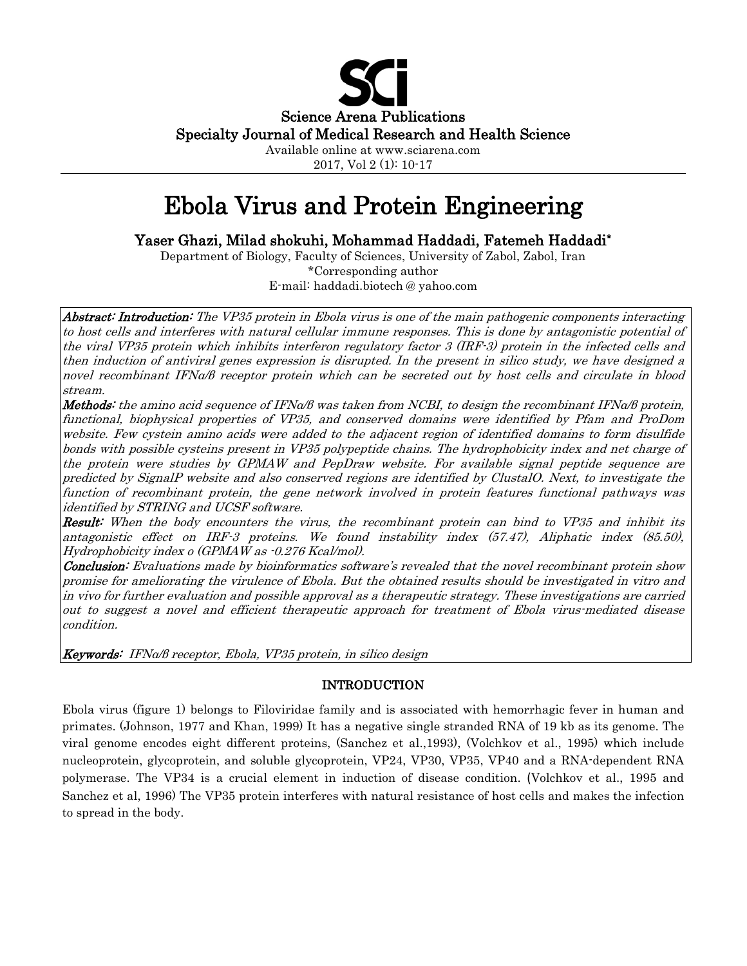

Available online at www.sciarena.com 2017, Vol 2 (1): 10-17

# Ebola Virus and Protein Engineering

Yaser Ghazi, Milad shokuhi, Mohammad Haddadi, Fatemeh Haddadi\*

Department of Biology, Faculty of Sciences, University of Zabol, Zabol, Iran \*Corresponding author E-mail: haddadi.biotech @ yahoo.com

Abstract: Introduction: The VP35 protein in Ebola virus is one of the main pathogenic components interacting to host cells and interferes with natural cellular immune responses. This is done by antagonistic potential of the viral VP35 protein which inhibits interferon regulatory factor 3 (IRF-3) protein in the infected cells and then induction of antiviral genes expression is disrupted. In the present in silico study, we have designed a novel recombinant IFNα/β receptor protein which can be secreted out by host cells and circulate in blood stream.

Methods: the amino acid sequence of IFNα/β was taken from NCBI, to design the recombinant IFNα/β protein, functional, biophysical properties of VP35, and conserved domains were identified by Pfam and ProDom website. Few cystein amino acids were added to the adjacent region of identified domains to form disulfide bonds with possible cysteins present in VP35 polypeptide chains. The hydrophobicity index and net charge of the protein were studies by GPMAW and PepDraw website. For available signal peptide sequence are predicted by SignalP website and also conserved regions are identified by ClustalO. Next, to investigate the function of recombinant protein, the gene network involved in protein features functional pathways was identified by STRING and UCSF software.

Result: When the body encounters the virus, the recombinant protein can bind to VP35 and inhibit its antagonistic effect on IRF-3 proteins. We found instability index (57.47), Aliphatic index (85.50), Hydrophobicity index o (GPMAW as -0.276 Kcal/mol).

**Conclusion:** Evaluations made by bioinformatics software's revealed that the novel recombinant protein show promise for ameliorating the virulence of Ebola. But the obtained results should be investigated in vitro and in vivo for further evaluation and possible approval as a therapeutic strategy. These investigations are carried out to suggest a novel and efficient therapeutic approach for treatment of Ebola virus-mediated disease condition.

Keywords: IFNα/β receptor, Ebola, VP35 protein, in silico design

# INTRODUCTION

Ebola virus (figure 1) belongs to Filoviridae family and is associated with hemorrhagic fever in human and primates. (Johnson, 1977 and Khan, 1999) It has a negative single stranded RNA of 19 kb as its genome. The viral genome encodes eight different proteins, (Sanchez et al.,1993), (Volchkov et al., 1995) which include nucleoprotein, glycoprotein, and soluble glycoprotein, VP24, VP30, VP35, VP40 and a RNA-dependent RNA polymerase. The VP34 is a crucial element in induction of disease condition. (Volchkov et al., 1995 and Sanchez et al, 1996) The VP35 protein interferes with natural resistance of host cells and makes the infection to spread in the body.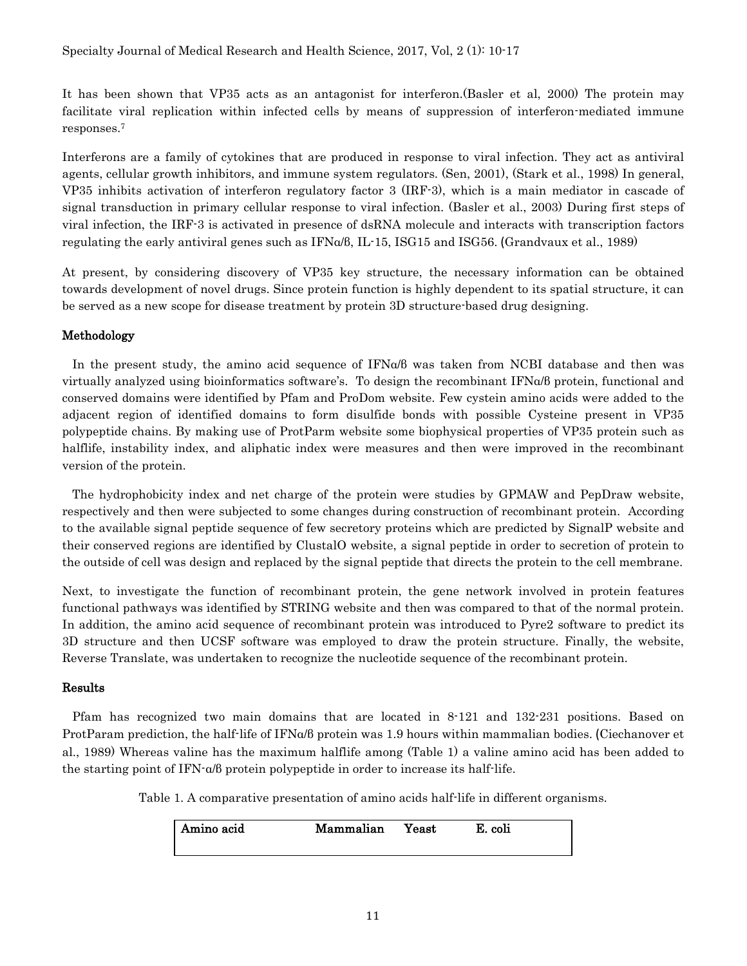It has been shown that VP35 acts as an antagonist for interferon.(Basler et al, 2000) The protein may facilitate viral replication within infected cells by means of suppression of interferon-mediated immune responses[.7](#page-6-0)

Interferons are a family of cytokines that are produced in response to viral infection. They act as antiviral agents, cellular growth inhibitors, and immune system regulators. (Sen, 2001), (Stark et al., 1998) In general, VP35 inhibits activation of interferon regulatory factor 3 (IRF-3), which is a main mediator in cascade of signal transduction in primary cellular response to viral infection. (Basler et al., 2003) During first steps of viral infection, the IRF-3 is activated in presence of dsRNA molecule and interacts with transcription factors regulating the early antiviral genes such as IFNα/β, IL-15, ISG15 and ISG56. (Grandvaux et al., 1989)

At present, by considering discovery of VP35 key structure, the necessary information can be obtained towards development of novel drugs. Since protein function is highly dependent to its spatial structure, it can be served as a new scope for disease treatment by protein 3D structure-based drug designing.

#### Methodology

 In the present study, the amino acid sequence of IFNα/β was taken from NCBI database and then was virtually analyzed using bioinformatics software's. To design the recombinant IFNα/β protein, functional and conserved domains were identified by Pfam and ProDom website. Few cystein amino acids were added to the adjacent region of identified domains to form disulfide bonds with possible Cysteine present in VP35 polypeptide chains. By making use of ProtParm website some biophysical properties of VP35 protein such as halflife, instability index, and aliphatic index were measures and then were improved in the recombinant version of the protein.

 The hydrophobicity index and net charge of the protein were studies by GPMAW and PepDraw website, respectively and then were subjected to some changes during construction of recombinant protein. According to the available signal peptide sequence of few secretory proteins which are predicted by SignalP website and their conserved regions are identified by ClustalO website, a signal peptide in order to secretion of protein to the outside of cell was design and replaced by the signal peptide that directs the protein to the cell membrane.

Next, to investigate the function of recombinant protein, the gene network involved in protein features functional pathways was identified by STRING website and then was compared to that of the normal protein. In addition, the amino acid sequence of recombinant protein was introduced to Pyre2 software to predict its 3D structure and then UCSF software was employed to draw the protein structure. Finally, the website, Reverse Translate, was undertaken to recognize the nucleotide sequence of the recombinant protein.

#### Results

 Pfam has recognized two main domains that are located in 8-121 and 132-231 positions. Based on ProtParam prediction, the half-life of IFNα/β protein was 1.9 hours within mammalian bodies. (Ciechanover et al., 1989) Whereas valine has the maximum halflife among (Table 1) a valine amino acid has been added to the starting point of IFN-α/β protein polypeptide in order to increase its half-life.

Table 1. A comparative presentation of amino acids half-life in different organisms.

| Amino acid | Mammalian | Yeast | E. coli |
|------------|-----------|-------|---------|
|            |           |       |         |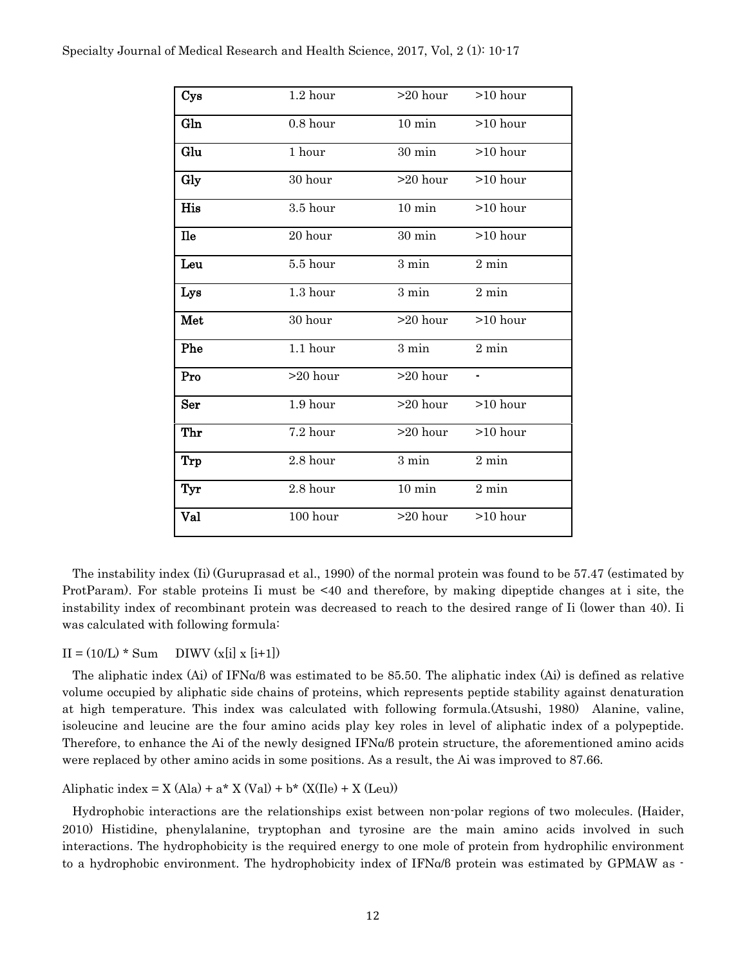| Cys        | $1.2$ hour | $>20$ hour $>10$ hour |                |
|------------|------------|-----------------------|----------------|
| Gln        | $0.8$ hour | $10 \text{ min}$      | $>10$ hour     |
| Glu        | 1 hour     | $30 \text{ min}$      | $>10$ hour     |
| Gly        | 30 hour    | $>20$ hour            | $>10$ hour     |
| His        | 3.5 hour   | $10 \text{ min}$      | $>10$ hour     |
| <b>Ile</b> | 20 hour    | $30 \text{ min}$      | $>10$ hour     |
| Leu        | 5.5 hour   | $3 \text{ min}$       | $2\ {\rm min}$ |
| Lys        | $1.3$ hour | $3 \text{ min}$       | $2\ {\rm min}$ |
| Met        | 30 hour    | >20 hour              | $>10$ hour     |
| Phe        | 1.1 hour   | $3 \text{ min}$       | $2\ {\rm min}$ |
| Pro        | $>20$ hour | $>20$ hour            | ۰              |
| Ser        | 1.9 hour   | $>20$ hour            | $>10$ hour     |
| Thr        | 7.2 hour   | >20 hour              | >10 hour       |
| Trp        | 2.8 hour   | $3 \text{ min}$       | $2\ {\rm min}$ |
| Tyr        | 2.8 hour   | $10 \text{ min}$      | $2\ {\rm min}$ |
| Val        | 100 hour   | $>20$ hour            | $>10$ hour     |

 The instability index (Ii) [\(G](#page-7-0)uruprasad et al., 1990) of the normal protein was found to be 57.47 (estimated by ProtParam). For stable proteins Ii must be <40 and therefore, by making dipeptide changes at i site, the instability index of recombinant protein was decreased to reach to the desired range of Ii (lower than 40). Ii was calculated with following formula:

#### $II = (10/L) * Sum$  DIWV  $(x[i] x[i+1])$

 The aliphatic index (Ai) of IFNα/β was estimated to be 85.50. The aliphatic index (Ai) is defined as relative volume occupied by aliphatic side chains of proteins, which represents peptide stability against denaturation at high temperature. This index was calculated with following formula.(Atsushi, 1980) Alanine, valine, isoleucine and leucine are the four amino acids play key roles in level of aliphatic index of a polypeptide. Therefore, to enhance the Ai of the newly designed IFNα/β protein structure, the aforementioned amino acids were replaced by other amino acids in some positions. As a result, the Ai was improved to 87.66.

Aliphatic index =  $X (Ala) + a^* X (Val) + b^* (X(IIe) + X (Leu))$ 

 Hydrophobic interactions are the relationships exist between non-polar regions of two molecules. (Haider, 2010) Histidine, phenylalanine, tryptophan and tyrosine are the main amino acids involved in such interactions. The hydrophobicity is the required energy to one mole of protein from hydrophilic environment to a hydrophobic environment. The hydrophobicity index of IFNα/β protein was estimated by GPMAW as -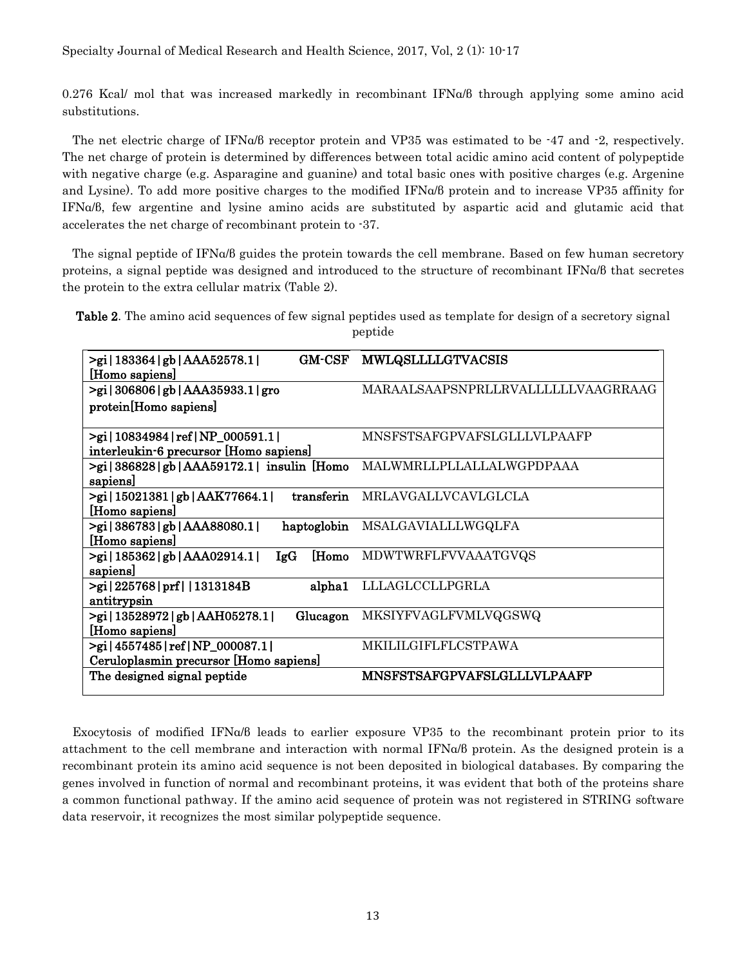0.276 Kcal/ mol that was increased markedly in recombinant IFNα/β through applying some amino acid substitutions.

 The net electric charge of IFNα/β receptor protein and VP35 was estimated to be -47 and -2, respectively. The net charge of protein is determined by differences between total acidic amino acid content of polypeptide with negative charge (e.g. Asparagine and guanine) and total basic ones with positive charges (e.g. Argenine and Lysine). To add more positive charges to the modified IFNα/β protein and to increase VP35 affinity for IFNα/β, few argentine and lysine amino acids are substituted by aspartic acid and glutamic acid that accelerates the net charge of recombinant protein to -37.

 The signal peptide of IFNα/β guides the protein towards the cell membrane. Based on few human secretory proteins, a signal peptide was designed and introduced to the structure of recombinant IFNα/β that secretes the protein to the extra cellular matrix (Table 2).

|  | Table 2. The amino acid sequences of few signal peptides used as template for design of a secretory signal |         |  |  |  |
|--|------------------------------------------------------------------------------------------------------------|---------|--|--|--|
|  |                                                                                                            | peptide |  |  |  |

| >gi 183364 gb AAA52578.1 <br><b>GM-CSF</b><br>[Homo sapiens]     | <b>MWLQSLLLLGTVACSIS</b>           |
|------------------------------------------------------------------|------------------------------------|
| $>$ gi   306806   gb   AAA35933.1   gro                          | MARAALSAAPSNPRLLRVALLLLLLVAAGRRAAG |
| protein[Homo sapiens]                                            |                                    |
|                                                                  |                                    |
| >gi 10834984 ref NP_000591.1                                     | MNSFSTSAFGPVAFSLGLLLVLPAAFP        |
| interleukin-6 precursor [Homo sapiens]                           |                                    |
| $>$ gi   386828   gb   AAA59172.1   insulin [Homo]               | <b>MALWMRLLPLLALLALWGPDPAAA</b>    |
| sapiens                                                          |                                    |
| transferin<br>>gi 15021381 gb AAK77664.1                         | MRLAVGALLVCAVLGLCLA                |
| [Homo sapiens]                                                   |                                    |
| $>$ gi   386783   gb   AAA88080.1  <br>haptoglobin               | MSALGAVIALLLWGQLFA                 |
| [Homo sapiens]                                                   |                                    |
| $>$ gi   185362   gb   AAA02914.1  <br><b>Homo</b><br><b>IgG</b> | <b>MDWTWRFLFVVAAATGVQS</b>         |
| sapiens                                                          |                                    |
| $>$ gi   225768   prf     1313184B<br>alpha1                     | LLLAGLCCLLPGRLA                    |
| antitrypsin                                                      |                                    |
| >gi 13528972 gb AAH05278.1 <br>Glucagon                          | MKSIYFVAGLFVMLVQGSWQ               |
| [Homo sapiens]                                                   |                                    |
| >gi   4557485   ref   NP_000087.1                                | <b>MKILILGIFLFLCSTPAWA</b>         |
| Ceruloplasmin precursor [Homo sapiens]                           |                                    |
| The designed signal peptide                                      | <b>MNSFSTSAFGPVAFSLGLLLVLPAAFP</b> |
|                                                                  |                                    |

 Exocytosis of modified IFNα/β leads to earlier exposure VP35 to the recombinant protein prior to its attachment to the cell membrane and interaction with normal IFNα/β protein. As the designed protein is a recombinant protein its amino acid sequence is not been deposited in biological databases. By comparing the genes involved in function of normal and recombinant proteins, it was evident that both of the proteins share a common functional pathway. If the amino acid sequence of protein was not registered in STRING software data reservoir, it recognizes the most similar polypeptide sequence.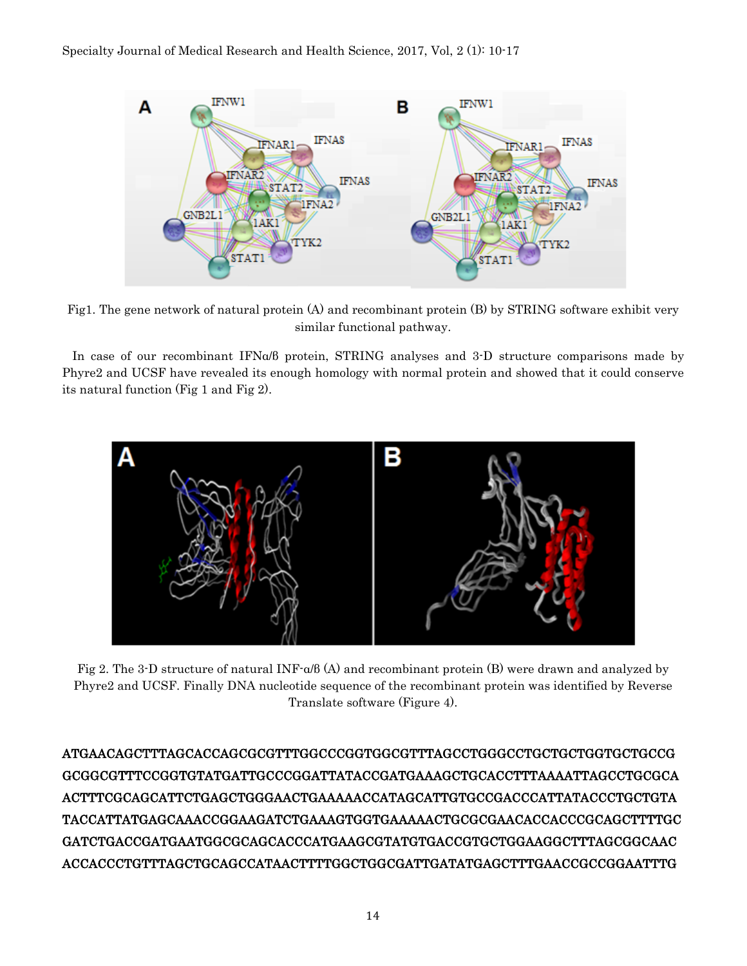

Fig1. The gene network of natural protein (A) and recombinant protein (B) by STRING software exhibit very similar functional pathway.

 In case of our recombinant IFNα/β protein, STRING analyses and 3-D structure comparisons made by Phyre2 and UCSF have revealed its enough homology with normal protein and showed that it could conserve its natural function (Fig 1 and Fig 2).



Fig 2. The 3-D structure of natural INF-α/β (A) and recombinant protein (B) were drawn and analyzed by Phyre2 and UCSF. Finally DNA nucleotide sequence of the recombinant protein was identified by Reverse Translate software (Figure 4).

ATGAACAGCTTTAGCACCAGCGCGTTTGGCCCGGTGGCGTTTAGCCTGGGCCTGCTGCTGGTGCTGCCG GCGGCGTTTCCGGTGTATGATTGCCCGGATTATACCGATGAAAGCTGCACCTTTAAAATTAGCCTGCGCA ACTTTCGCAGCATTCTGAGCTGGGAACTGAAAAACCATAGCATTGTGCCGACCCATTATACCCTGCTGTA TACCATTATGAGCAAACCGGAAGATCTGAAAGTGGTGAAAAACTGCGCGAACACCACCCGCAGCTTTTGC GATCTGACCGATGAATGGCGCAGCACCCATGAAGCGTATGTGACCGTGCTGGAAGGCTTTAGCGGCAAC ACCACCCTGTTTAGCTGCAGCCATAACTTTTGGCTGGCGATTGATATGAGCTTTGAACCGCCGGAATTTG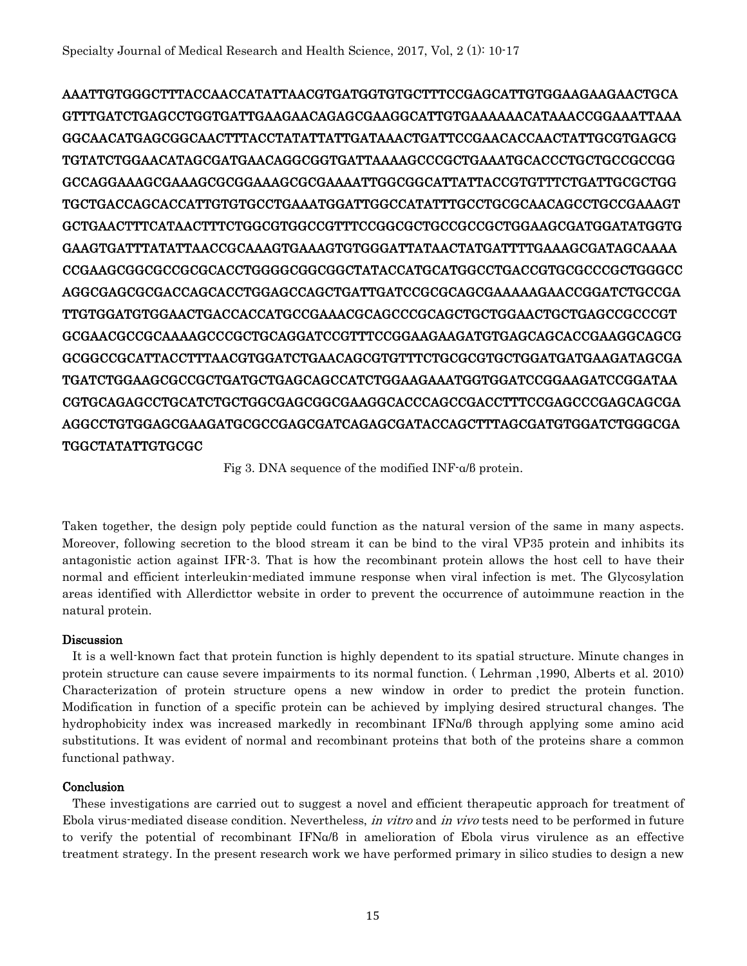AAATTGTGGGCTTTACCAACCATATTAACGTGATGGTGTGCTTTCCGAGCATTGTGGAAGAAGAACTGCA GTTTGATCTGAGCCTGGTGATTGAAGAACAGAGCGAAGGCATTGTGAAAAAACATAAACCGGAAATTAAA GGCAACATGAGCGGCAACTTTACCTATATTATTGATAAACTGATTCCGAACACCAACTATTGCGTGAGCG TGTATCTGGAACATAGCGATGAACAGGCGGTGATTAAAAGCCCGCTGAAATGCACCCTGCTGCCGCCGG GCCAGGAAAGCGAAAGCGCGGAAAGCGCGAAAATTGGCGGCATTATTACCGTGTTTCTGATTGCGCTGG TGCTGACCAGCACCATTGTGTGCCTGAAATGGATTGGCCATATTTGCCTGCGCAACAGCCTGCCGAAAGT GCTGAACTTTCATAACTTTCTGGCGTGGCCGTTTCCGGCGCTGCCGCCGCTGGAAGCGATGGATATGGTG GAAGTGATTTATATTAACCGCAAAGTGAAAGTGTGGGATTATAACTATGATTTTGAAAGCGATAGCAAAA CCGAAGCGGCGCCGCGCACCTGGGGCGGCGGCTATACCATGCATGGCCTGACCGTGCGCCCGCTGGGCC AGGCGAGCGCGACCAGCACCTGGAGCCAGCTGATTGATCCGCGCAGCGAAAAAGAACCGGATCTGCCGA TTGTGGATGTGGAACTGACCACCATGCCGAAACGCAGCCCGCAGCTGCTGGAACTGCTGAGCCGCCCGT GCGAACGCCGCAAAAGCCCGCTGCAGGATCCGTTTCCGGAAGAAGATGTGAGCAGCACCGAAGGCAGCG GCGGCCGCATTACCTTTAACGTGGATCTGAACAGCGTGTTTCTGCGCGTGCTGGATGATGAAGATAGCGA TGATCTGGAAGCGCCGCTGATGCTGAGCAGCCATCTGGAAGAAATGGTGGATCCGGAAGATCCGGATAA CGTGCAGAGCCTGCATCTGCTGGCGAGCGGCGAAGGCACCCAGCCGACCTTTCCGAGCCCGAGCAGCGA AGGCCTGTGGAGCGAAGATGCGCCGAGCGATCAGAGCGATACCAGCTTTAGCGATGTGGATCTGGGCGA TGGCTATATTGTGCGC

Fig 3. DNA sequence of the modified INF-α/β protein.

Taken together, the design poly peptide could function as the natural version of the same in many aspects. Moreover, following secretion to the blood stream it can be bind to the viral VP35 protein and inhibits its antagonistic action against IFR-3. That is how the recombinant protein allows the host cell to have their normal and efficient interleukin-mediated immune response when viral infection is met. The Glycosylation areas identified with Allerdicttor website in order to prevent the occurrence of autoimmune reaction in the natural protein.

#### Discussion

 It is a well-known fact that protein function is highly dependent to its spatial structure. Minute changes in protein structure can cause severe impairments to its normal function. ( Lehrman ,1990, Alberts et al. 2010) Characterization of protein structure opens a new window in order to predict the protein function. Modification in function of a specific protein can be achieved by implying desired structural changes. The hydrophobicity index was increased markedly in recombinant IFNα/β through applying some amino acid substitutions. It was evident of normal and recombinant proteins that both of the proteins share a common functional pathway.

#### **Conclusion**

 These investigations are carried out to suggest a novel and efficient therapeutic approach for treatment of Ebola virus-mediated disease condition. Nevertheless, in vitro and in vivo tests need to be performed in future to verify the potential of recombinant IFNα/β in amelioration of Ebola virus virulence as an effective treatment strategy. In the present research work we have performed primary in silico studies to design a new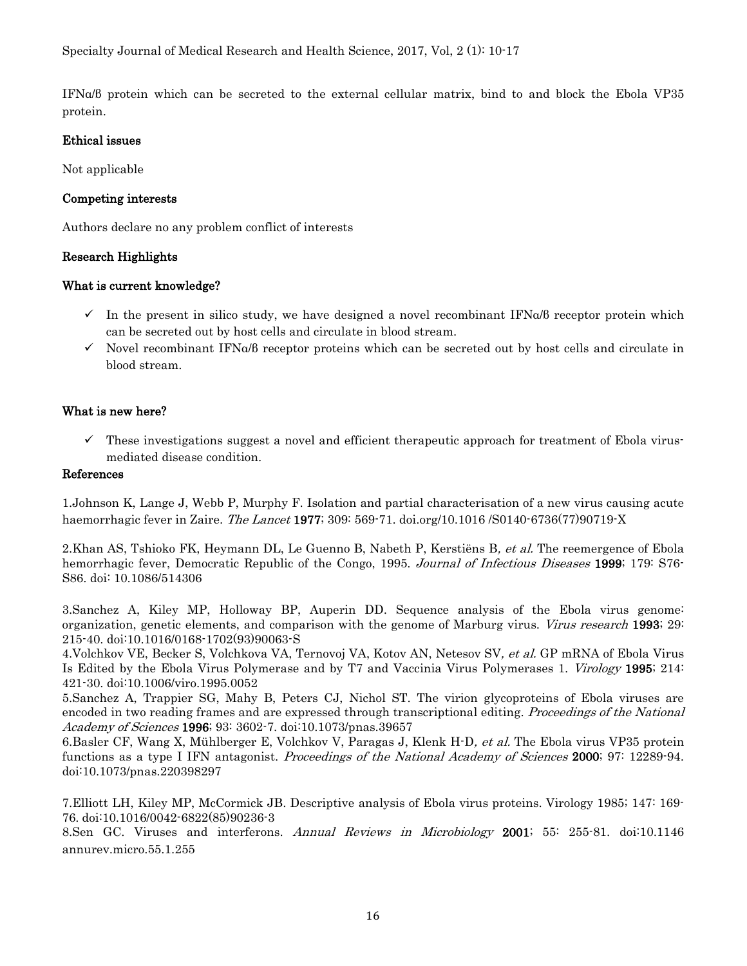IFNα/β protein which can be secreted to the external cellular matrix, bind to and block the Ebola VP35 protein.

#### Ethical issues

Not applicable

### Competing interests

Authors declare no any problem conflict of interests

#### Research Highlights

#### What is current knowledge?

- $\checkmark$  In the present in silico study, we have designed a novel recombinant IFN $\alpha$ /β receptor protein which can be secreted out by host cells and circulate in blood stream.
- Novel recombinant IFNα/β receptor proteins which can be secreted out by host cells and circulate in blood stream.

## What is new here?

 $\checkmark$  These investigations suggest a novel and efficient therapeutic approach for treatment of Ebola virusmediated disease condition.

#### References

1.Johnson K, Lange J, Webb P, Murphy F. Isolation and partial characterisation of a new virus causing acute haemorrhagic fever in Zaire. The Lancet 1977; 309: 569-71. doi.org/10.1016 / S0140-6736(77)90719-X

2.Khan AS, Tshioko FK, Heymann DL, Le Guenno B, Nabeth P, Kerstiëns B, et al. The reemergence of Ebola hemorrhagic fever, Democratic Republic of the Congo, 1995. Journal of Infectious Diseases 1999; 179: S76-S86. doi: 10.1086/514306

3.Sanchez A, Kiley MP, Holloway BP, Auperin DD. Sequence analysis of the Ebola virus genome: organization, genetic elements, and comparison with the genome of Marburg virus. *Virus research* 1993; 29: 215-40. doi:10.1016/0168[-1702\(93\)90063-S](http://dx.doi.org/10.1016/0168-1702(93)90063-S)

4.Volchkov VE, Becker S, Volchkova VA, Ternovoj VA, Kotov AN, Netesov SV, et al. GP mRNA of Ebola Virus Is Edited by the Ebola Virus Polymerase and by T7 and Vaccinia Virus Polymerases 1. *Virology* 1995; 214: 421-30. [doi:10.1006/vir](http://dx.doi.org/10.1006/viro.1995.0052)o.1995.0052

5.Sanchez A, Trappier SG, Mahy B, Peters CJ, Nichol ST. The virion glycoproteins of Ebola viruses are encoded in two reading frames and are expressed through transcriptional editing. *Proceedings of the National* Academy of Sciences **1996**; 93: 3602-7. doi:10.1073/pnas.39657

6.Basler CF, Wang X, Mühlberger E, Volchkov V, Paragas J, Klenk H-D, et al. The Ebola virus VP35 protein functions as a type I IFN antagonist. *Proceedings of the National Academy of Sciences* 2000; 97: 12289-94. doi:10.1073/pnas.220398297

<span id="page-6-0"></span>7.Elliott LH, Kiley MP, McCormick JB. Descriptive analysis of Ebola virus proteins. Virology 1985; 147: 169- 76[.](http://dx.doi.org/10.1016/0042-6822(85)90236-3) doi:10.1016/0042[-6822\(85\)90236-3](http://dx.doi.org/10.1016/0042-6822(85)90236-3)

8.Sen GC. Viruses and interferons. Annual Reviews in Microbiology 2001; 55: 255-81. doi[:10.1146](https://dx.doi.org/10.1146/annurev.micro.55.1.255)  [annurev.micro.55.1.255](https://dx.doi.org/10.1146/annurev.micro.55.1.255)